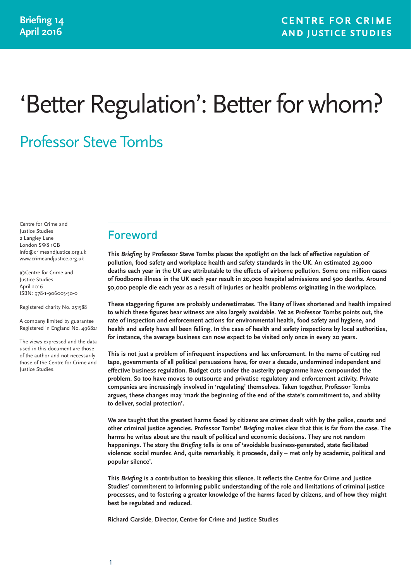# 'Better Regulation': Better for whom?

# Professor Steve Tombs

Centre for Crime and Justice Studies 2 Langley Lane London SW8 1GB info@crimeandjustice.org.uk www.crimeandjustice.org.uk

©Centre for Crime and Justice Studies April 2016 ISBN: 978-1-906003-50-0

Registered charity No. 251588

A company limited by guarantee Registered in England No. 496821

The views expressed and the data used in this document are those of the author and not necessarily those of the Centre for Crime and Justice Studies.

### Foreword

**This** *Briefing* **by Professor Steve Tombs places the spotlight on the lack of effective regulation of pollution, food safety and workplace health and safety standards in the UK. An estimated 29,000 deaths each year in the UK are attributable to the effects of airborne pollution. Some one million cases of foodborne illness in the UK each year result in 20,000 hospital admissions and 500 deaths. Around 50,000 people die each year as a result of injuries or health problems originating in the workplace.**

**These staggering figures are probably underestimates. The litany of lives shortened and health impaired to which these figures bear witness are also largely avoidable. Yet as Professor Tombs points out, the rate of inspection and enforcement actions for environmental health, food safety and hygiene, and health and safety have all been falling. In the case of health and safety inspections by local authorities, for instance, the average business can now expect to be visited only once in every 20 years.**

**This is not just a problem of infrequent inspections and lax enforcement. In the name of cutting red tape, governments of all political persuasions have, for over a decade, undermined independent and effective business regulation. Budget cuts under the austerity programme have compounded the problem. So too have moves to outsource and privatise regulatory and enforcement activity. Private companies are increasingly involved in 'regulating' themselves. Taken together, Professor Tombs argues, these changes may 'mark the beginning of the end of the state's commitment to, and ability to deliver, social protection'.**

**We are taught that the greatest harms faced by citizens are crimes dealt with by the police, courts and other criminal justice agencies. Professor Tombs'** *Briefing* **makes clear that this is far from the case. The harms he writes about are the result of political and economic decisions. They are not random happenings. The story the** *Briefing* **tells is one of 'avoidable business-generated, state facilitated violence: social murder. And, quite remarkably, it proceeds, daily – met only by academic, political and popular silence'.**

**This** *Briefing* **is a contribution to breaking this silence. It reflects the Centre for Crime and Justice Studies' commitment to informing public understanding of the role and limitations of criminal justice processes, and to fostering a greater knowledge of the harms faced by citizens, and of how they might best be regulated and reduced.**

**Richard Garside**, **Director, Centre for Crime and Justice Studies**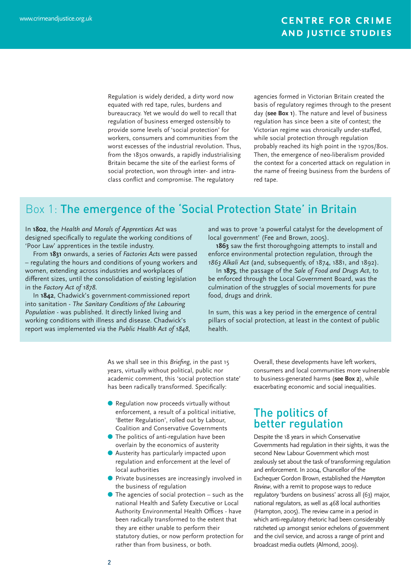Regulation is widely derided, a dirty word now equated with red tape, rules, burdens and bureaucracy. Yet we would do well to recall that regulation of business emerged ostensibly to provide some levels of 'social protection' for workers, consumers and communities from the worst excesses of the industrial revolution. Thus, from the 1830s onwards, a rapidly industrialising Britain became the site of the earliest forms of social protection, won through inter- and intraclass conflict and compromise. The regulatory

agencies formed in Victorian Britain created the basis of regulatory regimes through to the present day (**see Box 1**). The nature and level of business regulation has since been a site of contest; the Victorian regime was chronically under-staffed, while social protection through regulation probably reached its high point in the 1970s/80s. Then, the emergence of neo-liberalism provided the context for a concerted attack on regulation in the name of freeing business from the burdens of red tape.

# Box 1: The emergence of the 'Social Protection State' in Britain

In **1802**, the *Health and Morals of Apprentices Act* was designed specifically to regulate the working conditions of 'Poor Law' apprentices in the textile industry.

From **1831** onwards, a series of *Factories Acts* were passed – regulating the hours and conditions of young workers and women, extending across industries and workplaces of different sizes, until the consolidation of existing legislation in the *Factory Act of 1878*.

In **1842**, Chadwick's government-commissioned report into sanitation - *The Sanitary Conditions of the Labouring Population* - was published. It directly linked living and working conditions with illness and disease. Chadwick's report was implemented via the *Public Health Act of 1848*, and was to prove 'a powerful catalyst for the development of local government' (Fee and Brown, 2005).

**1863** saw the first thoroughgoing attempts to install and enforce environmental protection regulation, through the *1863 Alkali Act* (and, subsequently, of 1874, 1881, and 1892).

In **1875**, the passage of the *Sale of Food and Drugs Act*, to be enforced through the Local Government Board, was the culmination of the struggles of social movements for pure food, drugs and drink.

In sum, this was a key period in the emergence of central pillars of social protection, at least in the context of public health.

As we shall see in this *Briefing*, in the past 15 years, virtually without political, public nor academic comment, this 'social protection state' has been radically transformed. Specifically:

- Regulation now proceeds virtually without enforcement, a result of a political initiative, 'Better Regulation', rolled out by Labour, Coalition and Conservative Governments
- The politics of anti-regulation have been overlain by the economics of austerity
- Austerity has particularly impacted upon regulation and enforcement at the level of local authorities
- Private businesses are increasingly involved in the business of regulation
- $\bullet$  The agencies of social protection such as the national Health and Safety Executive or Local Authority Environmental Health Offices - have been radically transformed to the extent that they are either unable to perform their statutory duties, or now perform protection for rather than from business, or both.

Overall, these developments have left workers, consumers and local communities more vulnerable to business-generated harms (**see Box 2**), while exacerbating economic and social inequalities.

## The politics of better regulation

Despite the 18 years in which Conservative Governments had regulation in their sights, it was the second New Labour Government which most zealously set about the task of transforming regulation and enforcement. In 2004, Chancellor of the Exchequer Gordon Brown, established the *Hampton Review*, with a remit to propose ways to reduce regulatory 'burdens on business' across all (63) major, national regulators, as well as 468 local authorities (Hampton, 2005). The review came in a period in which anti-regulatory rhetoric had been considerably ratcheted up amongst senior echelons of government and the civil service, and across a range of print and broadcast media outlets (Almond, 2009).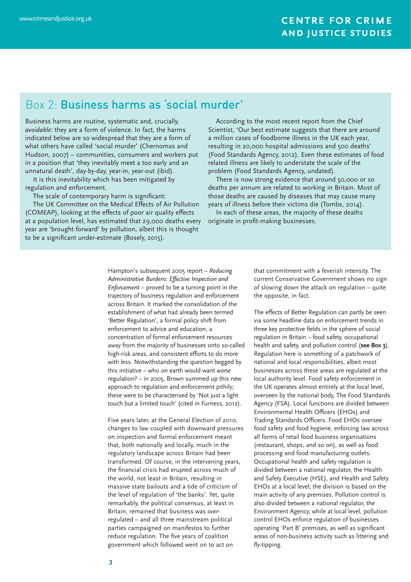# Box 2: Business harms as 'social murder'

Business harms are routine, systematic and, crucially, *avoidable*: they are a form of violence. In fact, the harms indicated below are so widespread that they are a form of what others have called 'social murder' (Chernomas and Hudson, 2007) – communities, consumers and workers put in a position that 'they inevitably meet a too early and an unnatural death', day-by-day, year-in, year-out (ibid).

It is this inevitability which has been mitigated by regulation and enforcement.

The scale of contemporary harm is significant:

The UK Committee on the Medical Effects of Air Pollution (COMEAP), looking at the effects of poor air quality effects at a population level, has estimated that 29,000 deaths every year are 'brought forward' by pollution, albeit this is thought to be a significant under-estimate (Bosely, 2015).

According to the most recent report from the Chief Scientist, 'Our best estimate suggests that there are around a million cases of foodborne illness in the UK each year, resulting in 20,000 hospital admissions and 500 deaths' (Food Standards Agency, 2012). Even these estimates of food related illness are likely to understate the scale of the problem (Food Standards Agency, undated).

There is now strong evidence that around 50,000 or so deaths per annum are related to working in Britain. Most of those deaths are caused by diseases that may cause many years of illness before their victims die (Tombs, 2014).

In each of these areas, the majority of these deaths originate in profit-making businesses.

Hampton's subsequent 2005 report – *Reducing Administrative Burdens: Effective Inspection and Enforcement* – proved to be a turning point in the trajectory of business regulation and enforcement across Britain. It marked the consolidation of the establishment of what had already been termed 'Better Regulation', a formal policy shift from enforcement to advice and education, a concentration of formal enforcement resources away from the majority of businesses onto so-called high-risk areas, and consistent efforts to do more with less. Notwithstanding the question begged by this initiative – who on earth would want *worse* regulation? – in 2005, Brown summed up this new approach to regulation and enforcement pithily; these were to be characterised by 'Not just a light touch but a limited touch' (cited in Furness, 2012).

Five years later, at the General Election of 2010, changes to law coupled with downward pressures on inspection and formal enforcement meant that, both nationally and locally, much in the regulatory landscape across Britain had been transformed. Of course, in the intervening years, the financial crisis had erupted across much of the world, not least in Britain, resulting in massive state bailouts and a tide of criticism of the level of regulation of 'the banks'. Yet, quite remarkably, the political consensus, at least in Britain, remained that business was *over*regulated – and all three mainstream political parties campaigned on manifestos to further reduce regulation. The five years of coalition government which followed went on to act on

that commitment with a feverish intensity. The current Conservative Government shows no sign of slowing down the attack on regulation – quite the opposite, in fact.

The effects of Better Regulation can partly be seen via some headline data on enforcement trends in three key protective fields in the sphere of social regulation in Britain – food safety, occupational health and safety, and pollution control (**see Box 3**). Regulation here is something of a patchwork of national and local responsibilities, albeit most businesses across these areas are regulated at the local authority level. Food safety enforcement in the UK operates almost entirely at the local level, overseen by the national body, The Food Standards Agency (FSA). Local functions are divided between Environmental Health Officers (EHOs) and Trading Standards Officers. Food EHOs oversee food safety and food hygiene, enforcing law across all forms of retail food business organisations (restaurant, shops, and so on), as well as food processing and food manufacturing outlets. Occupational health and safety regulation is divided between a national regulator, the Health and Safety Executive (HSE), and Health and Safety EHOs at a local level; the division is based on the main activity of any premises. Pollution control is also divided between a national regulator, the Environment Agency, while at local level, pollution control EHOs enforce regulation of businesses operating 'Part B' premises, as well as significant areas of non-business activity such as littering and fly-tipping.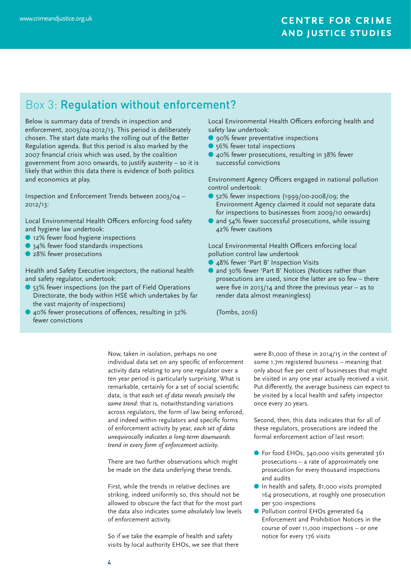# Box 3: Regulation without enforcement?

Below is summary data of trends in inspection and enforcement, 2003/04-2012/13. This period is deliberately chosen. The start date marks the rolling out of the Better Regulation agenda. But this period is also marked by the 2007 financial crisis which was used, by the coalition government from 2010 onwards, to justify austerity – so it is likely that within this data there is evidence of both politics and economics at play.

Inspection and Enforcement Trends between 2003/04 – 2012/13:

Local Environmental Health Officers enforcing food safety and hygiene law undertook:

- 12% fewer food hygiene inspections
- 34% fewer food standards inspections
- 28% fewer prosecutions

Health and Safety Executive inspectors, the national health and safety regulator, undertook:

- 53% fewer inspections (on the part of Field Operations Directorate, the body within HSE which undertakes by far the vast majority of inspections)
- 40% fewer prosecutions of offences, resulting in 32% fewer convictions

Local Environmental Health Officers enforcing health and safety law undertook:

- 90% fewer preventative inspections
- 56% fewer total inspections
- 40% fewer prosecutions, resulting in 38% fewer successful convictions

Environment Agency Officers engaged in national pollution control undertook:

- 52% fewer inspections (1999/00-2008/09; the Environment Agency claimed it could not separate data for inspections to businesses from 2009/10 onwards)
- and 54% fewer successful prosecutions, while issuing 42% fewer cautions

Local Environmental Health Officers enforcing local pollution control law undertook

- 48% fewer 'Part B' Inspection Visits
- and 30% fewer 'Part B' Notices (Notices rather than prosecutions are used, since the latter are so few – there were five in 2013/14 and three the previous year – as to render data almost meaningless)

(Tombs, 2016)

Now, taken in isolation, perhaps no one individual data set on any specific of enforcement activity data relating to any one regulator over a ten year period is particularly surprising. What is remarkable, certainly for a set of social scientific data, is that *each set of data reveals precisely the same trend*: that is, notwithstanding variations across regulators, the form of law being enforced, and indeed within regulators and specific forms of enforcement activity by year, *each set of data unequivocally indicates a long-term downwards trend in every form of enforcement activity*.

There are two further observations which might be made on the data underlying these trends.

First, while the trends in relative declines are striking, indeed uniformly so, this should not be allowed to obscure the fact that for the most part the data also indicates some *absolutely* low levels of enforcement activity.

So if we take the example of health and safety visits by local authority EHOs, we see that there were 81,000 of these in 2014/15 in the context of some 1.7m registered business – meaning that only about five per cent of businesses that might be visited in any one year actually received a visit. Put differently, the average business can expect to be visited by a local health and safety inspector once every 20 years.

Second, then, this data indicates that for all of these regulators, prosecutions are indeed the formal enforcement action of last resort:

- For food EHOs, 340,000 visits generated 361 prosecutions – a rate of approximately one prosecution for every thousand inspections and audits
- In health and safety, 81,000 visits prompted 164 prosecutions, at roughly one prosecution per 500 inspections
- Pollution control EHOs generated 64 Enforcement and Prohibition Notices in the course of over 11,000 inspections – or one notice for every 176 visits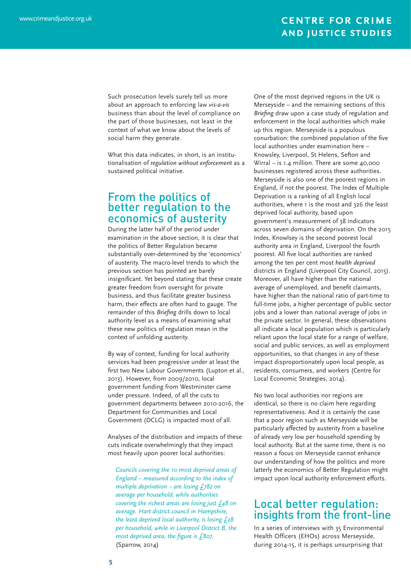Such prosecution levels surely tell us more about an approach to enforcing law *vis-a-vis* business than about the level of compliance on the part of those businesses, not least in the context of what we know about the levels of social harm they generate.

What this data indicates, in short, is an institutionalisation of *regulation without enforcement* as a sustained political initiative.

### From the politics of better regulation to the economics of austerity

During the latter half of the period under examination in the above section, it is clear that the politics of Better Regulation became substantially over-determined by the 'economics' of austerity. The macro-level trends to which the previous section has pointed are barely insignificant. Yet beyond stating that these create greater freedom from oversight for private business, and thus facilitate greater business harm, their effects are often hard to gauge. The remainder of this *Briefing* drills down to local authority level as a means of examining what these new politics of regulation mean in the context of unfolding austerity.

By way of context, funding for local authority services had been progressive under at least the first two New Labour Governments (Lupton et al., 2013). However, from 2009/2010, local government funding from Westminster came under pressure. Indeed, of all the cuts to government departments between 2010-2016, the Department for Communities and Local Government (DCLG) is impacted most of all.

Analyses of the distribution and impacts of these cuts indicate overwhelmingly that they impact most heavily upon poorer local authorities:

*Councils covering the 10 most deprived areas of England – measured according to the index of multiple deprivation – are losing £782 on average per household, while authorities covering the richest areas are losing just £48 on average. Hart district council in Hampshire, the least deprived local authority, is losing £28 per household, while in Liverpool District B, the most deprived area, the figure is £807.*  (Sparrow, 2014)

One of the most deprived regions in the UK is Merseyside – and the remaining sections of this *Briefing* draw upon a case study of regulation and enforcement in the local authorities which make up this region. Merseyside is a populous conurbation: the combined population of the five local authorities under examination here – Knowsley, Liverpool, St Helens, Sefton and Wirral – is 1.4 million. There are some 40,000 businesses registered across these authorities. Merseyside is also one of the poorest regions in England, if not the poorest. The Index of Multiple Deprivation is a ranking of all English local authorities, where 1 is the most and 326 the least deprived local authority, based upon government's measurement of 38 indicators across seven domains of deprivation. On the 2015 Index, Knowlsey is the second poorest local authority area in England, Liverpool the fourth poorest. All five local authorities are ranked among the ten per cent most *health deprived* districts in England (Liverpool City Council, 2015). Moreover, all have higher than the national average of unemployed, and benefit claimants, have higher than the national ratio of part-time to full-time jobs, a higher percentage of public sector jobs and a lower than national average of jobs in the private sector. In general, these observations all indicate a local population which is particularly reliant upon the local state for a range of welfare, social and public services, as well as employment opportunities, so that changes in any of these impact disproportionately upon local people, as residents, consumers, and workers (Centre for Local Economic Strategies, 2014).

No two local authorities nor regions are identical, so there is no claim here regarding representativeness. And it is certainly the case that a poor region such as Merseyside will be particularly affected by austerity from a baseline of already very low per household spending by local authority. But at the same time, there is no reason a focus on Merseyside cannot enhance our understanding of how the politics and more latterly the economics of Better Regulation might impact upon local authority enforcement efforts.

## Local better regulation: insights from the front-line

In a series of interviews with 35 Environmental Health Officers (EHOs) across Merseyside, during 2014-15, it is perhaps unsurprising that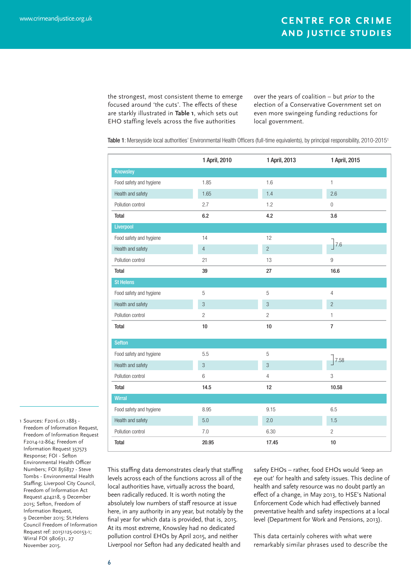the strongest, most consistent theme to emerge focused around 'the cuts'. The effects of these are starkly illustrated in **Table 1**, which sets out EHO staffing levels across the five authorities

over the years of coalition – but *prior* to the election of a Conservative Government set on even more swingeing funding reductions for local government.

Table 1: Merseyside local authorities' Environmental Health Officers (full-time equivalents), by principal responsibility, 2010-20151

|                         | 1 April, 2010  | 1 April, 2013  | 1 April, 2015    |
|-------------------------|----------------|----------------|------------------|
| Knowsley                |                |                |                  |
| Food safety and hygiene | 1.85           | 1.6            | $\mathbf{1}$     |
| Health and safety       | 1.65           | 1.4            | 2.6              |
| Pollution control       | 2.7            | 1.2            | $\overline{0}$   |
| Total                   | 6.2            | 4.2            | 3.6              |
| Liverpool               |                |                |                  |
| Food safety and hygiene | 14             | 12             |                  |
| Health and safety       | $\overline{4}$ | $\sqrt{2}$     | 7.6              |
| Pollution control       | 21             | 13             | $\boldsymbol{9}$ |
| <b>Total</b>            | 39             | 27             | 16.6             |
| <b>St Helens</b>        |                |                |                  |
| Food safety and hygiene | 5              | 5              | $\sqrt{4}$       |
| Health and safety       | 3              | $\sqrt{3}$     | $\overline{c}$   |
| Pollution control       | $\overline{c}$ | $\overline{c}$ | $\mathbf{1}$     |
| <b>Total</b>            | 10             | 10             | $\overline{7}$   |
| <b>Sefton</b>           |                |                |                  |
| Food safety and hygiene | 5.5            | 5              |                  |
| Health and safety       | 3              | 3              | 7.58             |
| Pollution control       | 6              | $\overline{4}$ | $\mathfrak{Z}$   |
| Total                   | 14.5           | 12             | 10.58            |
| <b>Wirral</b>           |                |                |                  |
| Food safety and hygiene | 8.95           | 9.15           | 6.5              |
| Health and safety       | 5.0            | 2.0            | 1.5              |
| Pollution control       | 7.0            | 6.30           | $\overline{c}$   |
| Total                   | 20.95          | 17.45          | $10$             |

1 Sources: F2016.01.1883 - Freedom of Information Request, Freedom of Information Request F2014-12-864; Freedom of Information Request 357573 Response; FOI - Sefton Environmental Health Officer Numbers; FOI 856837 - Steve Tombs - Environmental Health Staffing; Liverpool City Council, Freedom of Information Act Request 424218, 9 December 2015; Sefton, Freedom of Information Request, 9 December 2015; St.Helens Council Freedom of Information Request ref: 20151125-00153-1; Wirral FOI 980631, 27 November 2015.

This staffing data demonstrates clearly that staffing levels across each of the functions across all of the local authorities have, virtually across the board, been radically reduced. It is worth noting the absolutely low numbers of staff resource at issue here, in any authority in any year, but notably by the final year for which data is provided, that is, 2015. At its most extreme, Knowsley had no dedicated pollution control EHOs by April 2015, and neither Liverpool nor Sefton had any dedicated health and

safety EHOs – rather, food EHOs would 'keep an eye out' for health and safety issues. This decline of health and safety resource was no doubt partly an effect of a change, in May 2013, to HSE's National Enforcement Code which had effectively banned preventative health and safety inspections at a local level (Department for Work and Pensions, 2013).

This data certainly coheres with what were remarkably similar phrases used to describe the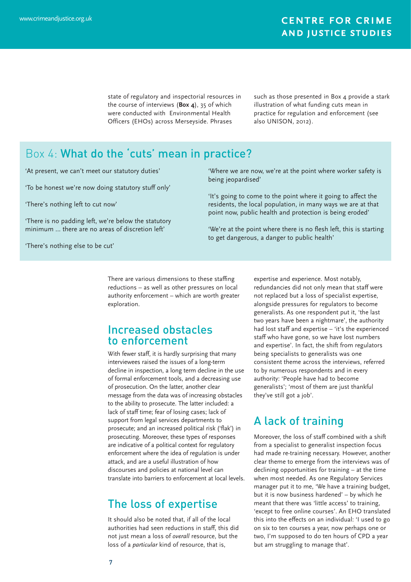state of regulatory and inspectorial resources in the course of interviews (**Box 4**), 35 of which were conducted with Environmental Health Officers (EHOs) across Merseyside. Phrases

such as those presented in Box 4 provide a stark illustration of what funding cuts mean in practice for regulation and enforcement (see also UNISON, 2012).

# Box 4: What do the 'cuts' mean in practice?

'At present, we can't meet our statutory duties'

'To be honest we're now doing statutory stuff only'

'There's nothing left to cut now'

'There is no padding left, we're below the statutory minimum … there are no areas of discretion left'

'There's nothing else to be cut'

'Where we are now, we're at the point where worker safety is being jeopardised'

'It's going to come to the point where it going to affect the residents, the local population, in many ways we are at that point now, public health and protection is being eroded'

'We're at the point where there is no flesh left, this is starting to get dangerous, a danger to public health'

There are various dimensions to these staffing reductions – as well as other pressures on local authority enforcement – which are worth greater exploration.

### Increased obstacles to enforcement

With fewer staff, it is hardly surprising that many interviewees raised the issues of a long-term decline in inspection, a long term decline in the use of formal enforcement tools, and a decreasing use of prosecution. On the latter, another clear message from the data was of increasing obstacles to the ability to prosecute. The latter included: a lack of staff time; fear of losing cases; lack of support from legal services departments to prosecute; and an increased political risk ('flak') in prosecuting. Moreover, these types of responses are indicative of a political context for regulatory enforcement where the idea of regulation is under attack, and are a useful illustration of how discourses and policies at national level can translate into barriers to enforcement at local levels.

# The loss of expertise

It should also be noted that, if all of the local authorities had seen reductions in staff, this did not just mean a loss of *overall* resource, but the loss of a *particular* kind of resource, that is,

expertise and experience. Most notably, redundancies did not only mean that staff were not replaced but a loss of specialist expertise, alongside pressures for regulators to become generalists. As one respondent put it, 'the last two years have been a nightmare', the authority had lost staff and expertise – 'it's the experienced staff who have gone, so we have lost numbers and expertise'. In fact, the shift from regulators being specialists to generalists was one consistent theme across the interviews, referred to by numerous respondents and in every authority: 'People have had to become generalists'; 'most of them are just thankful they've still got a job'.

# A lack of training

Moreover, the loss of staff combined with a shift from a specialist to generalist inspection focus had made re-training necessary. However, another clear theme to emerge from the interviews was of declining opportunities for training – at the time when most needed. As one Regulatory Services manager put it to me, 'We have a training budget, but it is now business hardened' – by which he meant that there was 'little access' to training, 'except to free online courses'. An EHO translated this into the effects on an individual: 'I used to go on six to ten courses a year, now perhaps one or two, I'm supposed to do ten hours of CPD a year but am struggling to manage that'.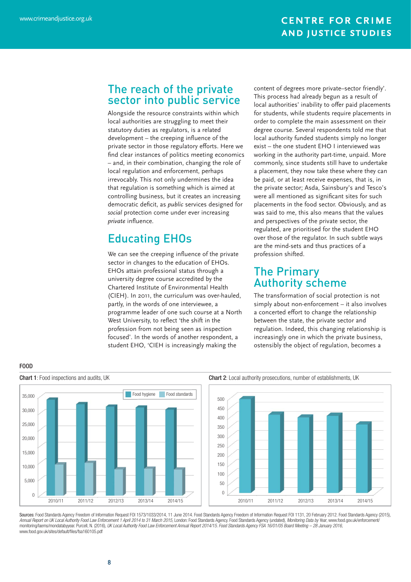FOOD

### The reach of the private sector into public service

Alongside the resource constraints within which local authorities are struggling to meet their statutory duties as regulators, is a related development – the creeping influence of the private sector in those regulatory efforts. Here we find clear instances of politics meeting economics – and, in their combination, changing the role of local regulation and enforcement, perhaps irrevocably. This not only undermines the idea that regulation is something which is aimed at controlling business, but it creates an increasing democratic deficit, as *public* services designed for *social* protection come under ever increasing *private* influence.

# Educating EHOs

We can see the creeping influence of the private sector in changes to the education of EHOs. EHOs attain professional status through a university degree course accredited by the Chartered Institute of Environmental Health (CIEH). In 2011, the curriculum was over-hauled, partly, in the words of one interviewee, a programme leader of one such course at a North West University, to reflect 'the shift in the profession from not being seen as inspection focused'. In the words of another respondent, a student EHO, 'CIEH is increasingly making the

content of degrees more private–sector friendly'. This process had already begun as a result of local authorities' inability to offer paid placements for students, while students require placements in order to complete the main assessment on their degree course. Several respondents told me that local authority funded students simply no longer exist – the one student EHO I interviewed was working in the authority part-time, unpaid. More commonly, since students still have to undertake a placement, they now take these where they can be paid, or at least receive expenses, that is, in the private sector; Asda, Sainsbury's and Tesco's were all mentioned as significant sites for such placements in the food sector. Obviously, and as was said to me, this also means that the values and perspectives of the private sector, the regulated, are prioritised for the student EHO over those of the regulator. In such subtle ways are the mind-sets and thus practices of a profession shifted.

### The Primary Authority scheme

The transformation of social protection is not simply about non-enforcement – it also involves a concerted effort to change the relationship between the state, the private sector and regulation. Indeed, this changing relationship is increasingly one in which the private business, ostensibly the object of regulation, becomes a



Sources: Food Standards Agency Freedom of Information Request FOI 1573/1033/2014, 11 June 2014. Food Standards Agency Freedom of Information Request FOI 1131, 20 February 2012. Food Standards Agency (2015), *Annual Report on UK Local Authority Food Law Enforcement 1 April 2014 to 31 March 2015*, London: Food Standards Agency. Food Standards Agency (undated), *Monitoring Data by Year*, www.food.gov.uk/enforcement/ monitoring/laems/mondatabyyear. Purcell, N. (2016), *UK Local Authority Food Law Enforcement Annual Report 2014/15. Food Standards Agency FSA 16/01/05 Board Meeting – 28 January 2016*, www.food.gov.uk/sites/default/files/fsa160105.pdf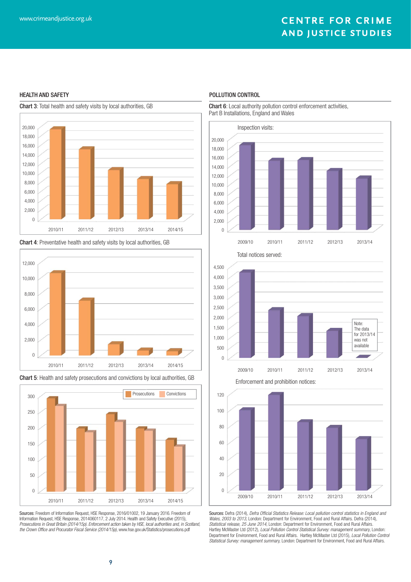#### HEALTH AND SAFETY



Chart 3: Total health and safety visits by local authorities, GB

#### Chart 4: Preventative health and safety visits by local authorities, GB





Sources: Freedom of Information Request, HSE Response, 2016/01002, 19 January 2016. Freedom of Information Request, HSE Response, 2014060117, 2 July 2014. Health and Safety Executive (2015), *Prosecutions in Great Britain (2014/15p)*. *Enforcement action taken by HSE, local authorities and, in Scotland, the Crown Office and Procurator Fiscal Service (2014/15p)*, www.hse.gov.uk/Statistics/prosecutions.pdf

#### POLLUTION CONTROL

Chart 6: Local authority pollution control enforcement activities, Part B Installations, England and Wales







Enforcement and prohibition notices:



Sources: Defra (2014), *Defra Official Statistics Release: Local pollution control statistics in England and Wales, 2003 to 2013*, London: Department for Environment, Food and Rural Affairs. Defra (2014), *Statistical release, 25 June 2014*, London: Department for Environment, Food and Rural Affairs. Hartley McMaster Ltd (2012), *Local Pollution Control Statistical Survey: management summary*, London: Department for Environment, Food and Rural Affairs. Hartley McMaster Ltd (2015), *Local Pollution Control Statistical Survey: management summary,* London: Department for Environment, Food and Rural Affairs.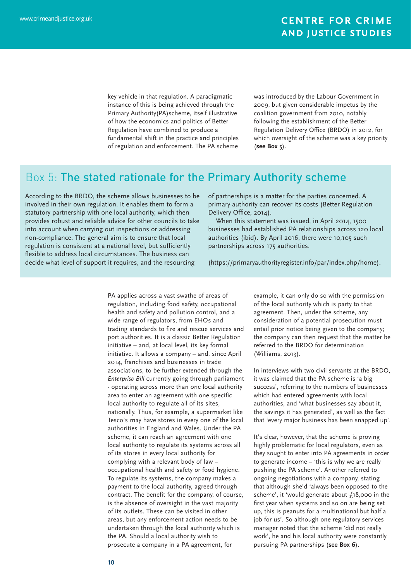key vehicle in that regulation. A paradigmatic instance of this is being achieved through the Primary Authority(PA)scheme, itself illustrative of how the economics and politics of Better Regulation have combined to produce a fundamental shift in the practice and principles of regulation and enforcement. The PA scheme

was introduced by the Labour Government in 2009, but given considerable impetus by the coalition government from 2010, notably following the establishment of the Better Regulation Delivery Office (BRDO) in 2012, for which oversight of the scheme was a key priority (**see Box 5**).

# Box 5: The stated rationale for the Primary Authority scheme

According to the BRDO, the scheme allows businesses to be involved in their own regulation. It enables them to form a statutory partnership with one local authority, which then provides robust and reliable advice for other councils to take into account when carrying out inspections or addressing non-compliance. The general aim is to ensure that local regulation is consistent at a national level, but sufficiently flexible to address local circumstances. The business can decide what level of support it requires, and the resourcing

of partnerships is a matter for the parties concerned. A primary authority can recover its costs (Better Regulation Delivery Office, 2014).

When this statement was issued, in April 2014, 1500 businesses had established PA relationships across 120 local authorities (ibid). By April 2016, there were 10,105 such partnerships across 175 authorities.

(https://primaryauthorityregister.info/par/index.php/home).

PA applies across a vast swathe of areas of regulation, including food safety, occupational health and safety and pollution control, and a wide range of regulators, from EHOs and trading standards to fire and rescue services and port authorities. It is a classic Better Regulation initiative – and, at local level, its key formal initiative. It allows a company – and, since April 2014, franchises and businesses in trade associations, to be further extended through the *Enterprise Bill* currently going through parliament - operating across more than one local authority area to enter an agreement with one specific local authority to regulate all of its sites, nationally. Thus, for example, a supermarket like Tesco's may have stores in every one of the local authorities in England and Wales. Under the PA scheme, it can reach an agreement with one local authority to regulate its systems across all of its stores in every local authority for complying with a relevant body of law – occupational health and safety or food hygiene. To regulate its systems, the company makes a payment to the local authority, agreed through contract. The benefit for the company, of course, is the absence of oversight in the vast majority of its outlets. These can be visited in other areas, but any enforcement action needs to be undertaken through the local authority which is the PA. Should a local authority wish to prosecute a company in a PA agreement, for

example, it can only do so with the permission of the local authority which is party to that agreement. Then, under the scheme, any consideration of a potential prosecution must entail prior notice being given to the company; the company can then request that the matter be referred to the BRDO for determination (Williams, 2013).

In interviews with two civil servants at the BRDO, it was claimed that the PA scheme is 'a big success', referring to the numbers of businesses which had entered agreements with local authorities, and 'what businesses say about it, the savings it has generated', as well as the fact that 'every major business has been snapped up'.

It's clear, however, that the scheme is proving highly problematic for local regulators, even as they sought to enter into PA agreements in order to generate income – 'this is why we are really pushing the PA scheme'. Another referred to ongoing negotiations with a company, stating that although she'd 'always been opposed to the scheme', it 'would generate about  $f_18,000$  in the first year when systems and so on are being set up, this is peanuts for a multinational but half a job for us'. So although one regulatory services manager noted that the scheme 'did not really work', he and his local authority were constantly pursuing PA partnerships (**see Box 6**).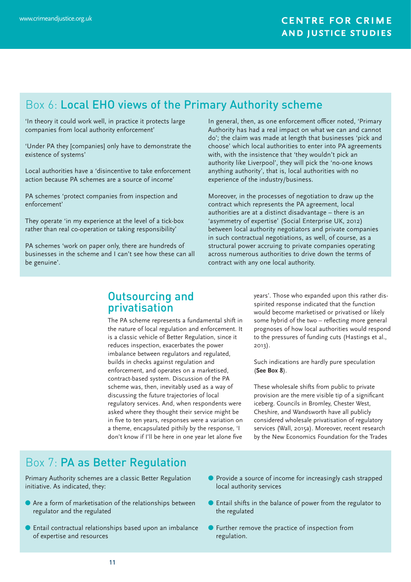# Box 6: Local EHO views of the Primary Authority scheme

'In theory it could work well, in practice it protects large companies from local authority enforcement'

'Under PA they [companies] only have to demonstrate the existence of systems'

Local authorities have a 'disincentive to take enforcement action because PA schemes are a source of income'

PA schemes 'protect companies from inspection and enforcement'

They operate 'in my experience at the level of a tick-box rather than real co-operation or taking responsibility'

PA schemes 'work on paper only, there are hundreds of businesses in the scheme and I can't see how these can all be genuine'.

In general, then, as one enforcement officer noted, 'Primary Authority has had a real impact on what we can and cannot do'; the claim was made at length that businesses 'pick and choose' which local authorities to enter into PA agreements with, with the insistence that 'they wouldn't pick an authority like Liverpool', they will pick the 'no-one knows anything authority', that is, local authorities with no experience of the industry/business.

Moreover, in the processes of negotiation to draw up the contract which represents the PA agreement, local authorities are at a distinct disadvantage – there is an 'asymmetry of expertise' (Social Enterprise UK, 2012) between local authority negotiators and private companies in such contractual negotiations, as well, of course, as a structural power accruing to private companies operating across numerous authorities to drive down the terms of contract with any one local authority.

### Outsourcing and privatisation

The PA scheme represents a fundamental shift in the nature of local regulation and enforcement. It is a classic vehicle of Better Regulation, since it reduces inspection, exacerbates the power imbalance between regulators and regulated, builds in checks against regulation and enforcement, and operates on a marketised, contract-based system. Discussion of the PA scheme was, then, inevitably used as a way of discussing the future trajectories of local regulatory services. And, when respondents were asked where they thought their service might be in five to ten years, responses were a variation on a theme, encapsulated pithily by the response, 'I don't know if I'll be here in one year let alone five

years'. Those who expanded upon this rather disspirited response indicated that the function would become marketised or privatised or likely some hybrid of the two – reflecting more general prognoses of how local authorities would respond to the pressures of funding cuts (Hastings et al., 2013).

Such indications are hardly pure speculation (**See Box 8**).

These wholesale shifts from public to private provision are the mere visible tip of a significant iceberg. Councils in Bromley, Chester West, Cheshire, and Wandsworth have all publicly considered wholesale privatisation of regulatory services (Wall, 2015a). Moreover, recent research by the New Economics Foundation for the Trades

# Box 7: PA as Better Regulation

Primary Authority schemes are a classic Better Regulation initiative. As indicated, they:

- Are a form of marketisation of the relationships between regulator and the regulated
- Entail contractual relationships based upon an imbalance of expertise and resources
- Provide a source of income for increasingly cash strapped local authority services
- Entail shifts in the balance of power from the regulator to the regulated
- Further remove the practice of inspection from regulation.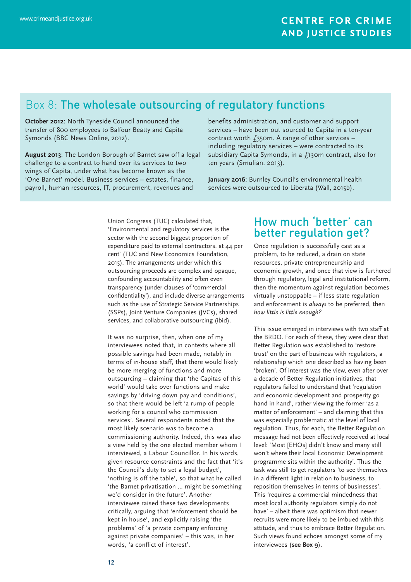# Box 8: The wholesale outsourcing of regulatory functions

**October 2012**: North Tyneside Council announced the transfer of 800 employees to Balfour Beatty and Capita Symonds (BBC News Online, 2012).

**August 2013**: The London Borough of Barnet saw off a legal challenge to a contract to hand over its services to two wings of Capita, under what has become known as the 'One Barnet' model. Business services – estates, finance, payroll, human resources, IT, procurement, revenues and

benefits administration, and customer and support services – have been out sourced to Capita in a ten-year contract worth  $f_3$ 50m. A range of other services including regulatory services – were contracted to its subsidiary Capita Symonds, in a  $f_1$ 30m contract, also for ten years (Smulian, 2013).

**January 2016**: Burnley Council's environmental health services were outsourced to Liberata (Wall, 2015b).

Union Congress (TUC) calculated that, 'Environmental and regulatory services is the sector with the second biggest proportion of expenditure paid to external contractors, at 44 per cent' (TUC and New Economics Foundation, 2015). The arrangements under which this outsourcing proceeds are complex and opaque, confounding accountability and often even transparency (under clauses of 'commercial confidentiality'), and include diverse arrangements such as the use of Strategic Service Partnerships (SSPs), Joint Venture Companies (JVCs), shared services, and collaborative outsourcing (ibid).

It was no surprise, then, when one of my interviewees noted that, in contexts where all possible savings had been made, notably in terms of in-house staff, that there would likely be more merging of functions and more outsourcing – claiming that 'the Capitas of this world' would take over functions and make savings by 'driving down pay and conditions', so that there would be left 'a rump of people working for a council who commission services'. Several respondents noted that the most likely scenario was to become a commissioning authority. Indeed, this was also a view held by the one elected member whom I interviewed, a Labour Councillor. In his words, given resource constraints and the fact that 'it's the Council's duty to set a legal budget', 'nothing is off the table', so that what he called 'the Barnet privatisation … might be something we'd consider in the future'. Another interviewee raised these two developments critically, arguing that 'enforcement should be kept in house', and explicitly raising 'the problems' of 'a private company enforcing against private companies' – this was, in her words, 'a conflict of interest'.

## How much 'better' can better regulation get?

Once regulation is successfully cast as a problem, to be reduced, a drain on state resources, private entrepreneurship and economic growth, and once that view is furthered through regulatory, legal and institutional reform, then the momentum against regulation becomes virtually unstoppable – if less state regulation and enforcement is *always* to be preferred, then *how little is little enough?* 

This issue emerged in interviews with two staff at the BRDO. For each of these, they were clear that Better Regulation was established to 'restore trust' on the part of business with regulators, a relationship which one described as having been 'broken'. Of interest was the view, even after over a decade of Better Regulation initiatives, that regulators failed to understand that 'regulation and economic development and prosperity go hand in hand', rather viewing the former 'as a matter of enforcement' – and claiming that this was especially problematic at the level of local regulation. Thus, for each, the Better Regulation message had not been effectively received at local level: 'Most [EHOs] didn't know and many still won't where their local Economic Development programme sits within the authority'. Thus the task was still to get regulators 'to see themselves in a different light in relation to business, to reposition themselves in terms of businesses'. This 'requires a commercial mindedness that most local authority regulators simply do not have' – albeit there was optimism that newer recruits were more likely to be imbued with this attitude, and thus to embrace Better Regulation. Such views found echoes amongst some of my interviewees (**see Box 9**).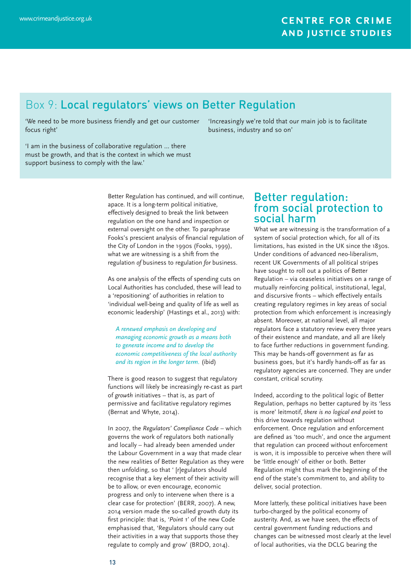# Box 9: Local regulators' views on Better Regulation

'We need to be more business friendly and get our customer focus right'

'I am in the business of collaborative regulation … there must be growth, and that is the context in which we must support business to comply with the law.'

'Increasingly we're told that our main job is to facilitate business, industry and so on'

Better Regulation has continued, and will continue, apace. It is a long-term political initiative, effectively designed to break the link between regulation on the one hand and inspection or external oversight on the other. To paraphrase Fooks's prescient analysis of financial regulation of the City of London in the 1990s (Fooks, 1999), what we are witnessing is a shift from the regulation *of* business to regulation *for* business.

As one analysis of the effects of spending cuts on Local Authorities has concluded, these will lead to a 'repositioning' of authorities in relation to 'individual well-being and quality of life as well as economic leadership' (Hastings et al., 2013) with:

*A renewed emphasis on developing and managing economic growth as a means both to generate income and to develop the economic competitiveness of the local authority and its region in the longer term.* (ibid)

There is good reason to suggest that regulatory functions will likely be increasingly re-cast as part of *growth* initiatives – that is, as part of permissive and facilitative regulatory regimes (Bernat and Whyte, 2014).

In 2007, the *Regulators' Compliance Code* – which governs the work of regulators both nationally and locally – had already been amended under the Labour Government in a way that made clear the new realities of Better Regulation as they were then unfolding, so that ' [r]egulators should recognise that a key element of their activity will be to allow, or even encourage, economic progress and only to intervene when there is a clear case for protection' (BERR, 2007). A new, 2014 version made the so-called growth duty its first principle: that is, *'Point 1'* of the new Code emphasised that, 'Regulators should carry out their activities in a way that supports those they regulate to comply and grow' (BRDO, 2014).

### Better regulation: from social protection to social harm

What we are witnessing is the transformation of a system of social protection which, for all of its limitations, has existed in the UK since the 1830s. Under conditions of advanced neo-liberalism, recent UK Governments of all political stripes have sought to roll out a politics of Better Regulation – via ceaseless initiatives on a range of mutually reinforcing political, institutional, legal, and discursive fronts – which effectively entails creating regulatory regimes in key areas of social protection from which enforcement is increasingly absent. Moreover, at national level, all major regulators face a statutory review every three years of their existence and mandate, and all are likely to face further reductions in government funding. This may be hands-off government as far as business goes, but it's hardly hands-off as far as regulatory agencies are concerned. They are under constant, critical scrutiny.

Indeed, according to the political logic of Better Regulation, perhaps no better captured by its 'less is more' leitmotif, *there is no logical end point* to this drive towards regulation without enforcement. Once regulation and enforcement are defined as 'too much', and once the argument that regulation can proceed without enforcement is won, it is impossible to perceive when there will be 'little enough' of either or both. Better Regulation might thus mark the beginning of the end of the state's commitment to, and ability to deliver, social protection.

More latterly, these political initiatives have been turbo-charged by the political economy of austerity. And, as we have seen, the effects of central government funding reductions and changes can be witnessed most clearly at the level of local authorities, via the DCLG bearing the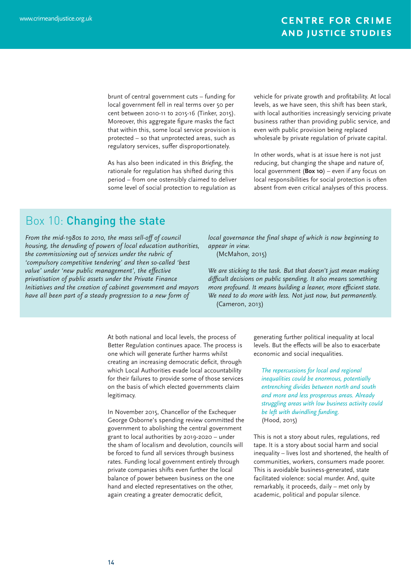brunt of central government cuts – funding for local government fell in real terms over 50 per cent between 2010-11 to 2015-16 (Tinker, 2015). Moreover, this aggregate figure masks the fact that within this, some local service provision is protected – so that unprotected areas, such as regulatory services, suffer disproportionately.

As has also been indicated in this *Briefing*, the rationale for regulation has shifted during this period – from one ostensibly claimed to deliver some level of social protection to regulation as

vehicle for private growth and profitability. At local levels, as we have seen, this shift has been stark, with local authorities increasingly servicing private business rather than providing public service, and even with public provision being replaced wholesale by private regulation of private capital.

In other words, what is at issue here is not just reducing, but changing the shape and nature of, local government (**Box 10**) – even if any focus on local responsibilities for social protection is often absent from even critical analyses of this process.

# Box 10: Changing the state

*From the mid-1980s to 2010, the mass sell-off of council housing, the denuding of powers of local education authorities, the commissioning out of services under the rubric of 'compulsory competitive tendering' and then so-called 'best value' under 'new public management', the effective privatisation of public assets under the Private Finance Initiatives and the creation of cabinet government and mayors have all been part of a steady progression to a new form of*

*local governance the final shape of which is now beginning to appear in view.* 

(McMahon, 2015)

*We are sticking to the task. But that doesn't just mean making difficult decisions on public spending. It also means something more profound. It means building a leaner, more efficient state. We need to do more with less. Not just now, but permanently.*  (Cameron, 2013)

At both national and local levels, the process of Better Regulation continues apace. The process is one which will generate further harms whilst creating an increasing democratic deficit, through which Local Authorities evade local accountability for their failures to provide some of those services on the basis of which elected governments claim legitimacy.

In November 2015, Chancellor of the Exchequer George Osborne's spending review committed the government to abolishing the central government grant to local authorities by 2019-2020 – under the sham of localism and devolution, councils will be forced to fund all services through business rates. Funding local government entirely through private companies shifts even further the local balance of power between business on the one hand and elected representatives on the other, again creating a greater democratic deficit,

generating further political inequality at local levels. But the effects will be also to exacerbate economic and social inequalities.

*The repercussions for local and regional inequalities could be enormous, potentially entrenching divides between north and south and more and less prosperous areas. Already struggling areas with low business activity could be left with dwindling funding.* (Hood, 2015)

This is not a story about rules, regulations, red tape. It is a story about social harm and social inequality – lives lost and shortened, the health of communities, workers, consumers made poorer. This is avoidable business-generated, state facilitated violence: social murder. And, quite remarkably, it proceeds, daily – met only by academic, political and popular silence.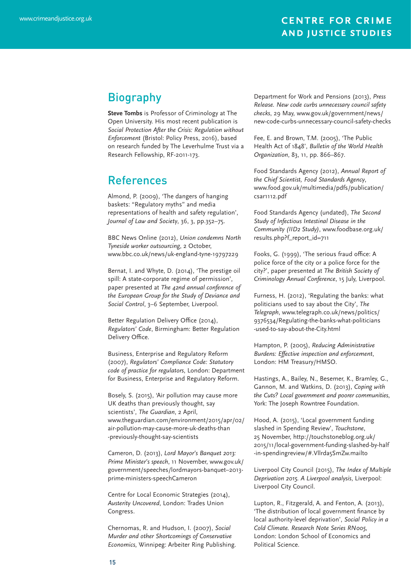# Biography

**Steve Tombs** is Professor of Criminology at The Open University. His most recent publication is *Social Protection After the Crisis: Regulation without Enforcement* (Bristol: Policy Press, 2016), based on research funded by The Leverhulme Trust via a Research Fellowship, RF-2011-173.

## References

Almond, P. (2009), 'The dangers of hanging baskets: "Regulatory myths" and media representations of health and safety regulation', *Journal of Law and Society*, 36, 3, pp.352–75.

BBC News Online (2012), *Union condemns North Tyneside worker outsourcing*, 2 October, www.bbc.co.uk/news/uk-england-tyne-19797229

Bernat, I. and Whyte, D. (2014), 'The prestige oil spill: A state-corporate regime of permission', paper presented at *The 42nd annual conference of the European Group for the Study of Deviance and Social Control*, 3–6 September, Liverpool.

Better Regulation Delivery Office (2014), *Regulators' Code*, Birmingham: Better Regulation Delivery Office.

Business, Enterprise and Regulatory Reform (2007), *Regulators' Compliance Code: Statutory code of practice for regulators*, London: Department for Business, Enterprise and Regulatory Reform.

Bosely, S. (2015), 'Air pollution may cause more UK deaths than previously thought, say scientists', *The Guardian*, 2 April, www.theguardian.com/environment/2015/apr/02/ air-pollution-may-cause-more-uk-deaths-than -previously-thought-say-scientists

Cameron, D. (2013), *Lord Mayor's Banquet 2013: Prime Minister's speech*, 11 November, www.gov.uk/ government/speeches/lordmayors-banquet–2013 prime-ministers-speechCameron

Centre for Local Economic Strategies (2014), *Austerity Uncovered*, London: Trades Union Congress.

Chernomas, R. and Hudson, I. (2007), *Social Murder and other Shortcomings of Conservative Economics*, Winnipeg: Arbeiter Ring Publishing.

Department for Work and Pensions (2013), *Press Release. New code curbs unnecessary council safety checks*, 29 May, www.gov.uk/government/news/ new-code-curbs-unnecessary-council-safety-checks

Fee, E. and Brown, T.M. (2005), 'The Public Health Act of 1848', *Bulletin of the World Health Organization*, 83, 11, pp. 866–867.

Food Standards Agency (2012), *Annual Report of the Chief Scientist, Food Standards Agency*, www.food.gov.uk/multimedia/pdfs/publication/ csar1112.pdf

Food Standards Agency (undated), *The Second Study of Infectious Intestinal Disease in the Community (IID2 Study)*, www.foodbase.org.uk/ results.php?f\_report\_id=711

Fooks, G. (1999), 'The serious fraud office: A police force of the city or a police force for the city?', paper presented at *The British Society of Criminology Annual Conference*, 15 July, Liverpool.

Furness, H. (2012), 'Regulating the banks: what politicians used to say about the City', *The Telegraph*, www.telegraph.co.uk/news/politics/ 9376534/Regulating-the-banks-what-politicians -used-to-say-about-the-City.html

Hampton, P. (2005), *Reducing Administrative Burdens: Effective inspection and enforcement*, London: HM Treasury/HMSO.

Hastings, A., Bailey, N., Besemer, K., Bramley, G., Gannon, M. and Watkins, D. (2013), *Coping with the Cuts? Local government and poorer communities*, York: The Joseph Rowntree Foundation.

Hood, A. (2015), 'Local government funding slashed in Spending Review', *Touchstone*, 25 November, http://touchstoneblog.org.uk/ 2015/11/local-government-funding-slashed-by-half -in-spendingreview/#.Vllrda5SmZw.mailto

Liverpool City Council (2015), *The Index of Multiple Deprivation 2015. A Liverpool analysis*, Liverpool: Liverpool City Council.

Lupton, R., Fitzgerald, A. and Fenton, A. (2013), 'The distribution of local government finance by local authority-level deprivation', *Social Policy in a Cold Climate. Research Note Series RN005*, London: London School of Economics and Political Science.